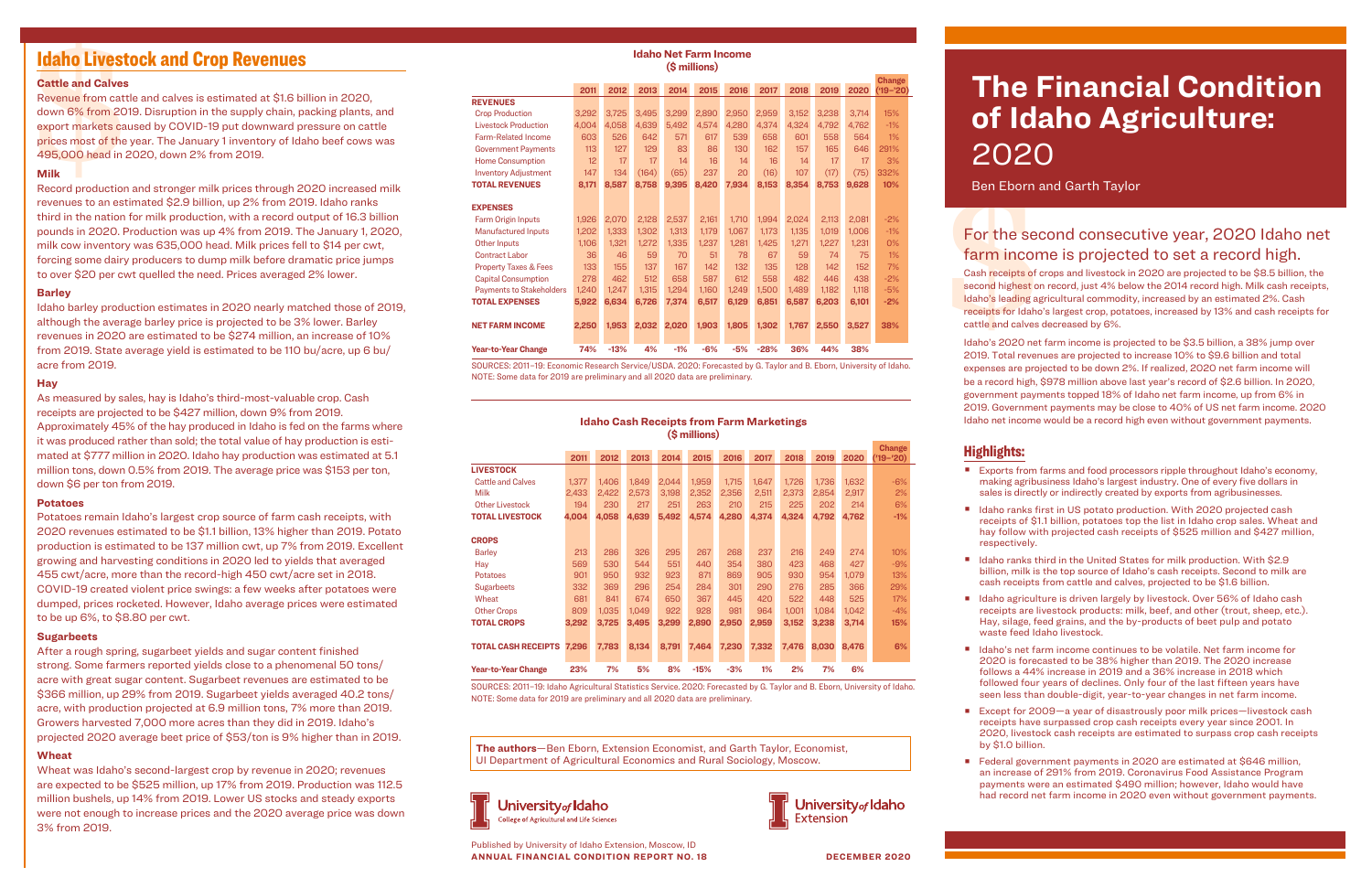| <b>Idaho Cash Receipts from Farm Marketings</b> |  |
|-------------------------------------------------|--|
| (\$ millions)                                   |  |

|                                  |       |       |       |       |        |       |       |       |       |       | <b>Change</b> |
|----------------------------------|-------|-------|-------|-------|--------|-------|-------|-------|-------|-------|---------------|
|                                  | 2011  | 2012  | 2013  | 2014  | 2015   | 2016  | 2017  | 2018  | 2019  | 2020  | (19–'20)      |
| <b>LIVESTOCK</b>                 |       |       |       |       |        |       |       |       |       |       |               |
| <b>Cattle and Calves</b>         | 1.377 | 1,406 | 1,849 | 2.044 | 1,959  | 1.715 | 1.647 | 1,726 | 1,736 | 1,632 | $-6%$         |
| Milk                             | 2.433 | 2.422 | 2.573 | 3.198 | 2.352  | 2.356 | 2.511 | 2.373 | 2.854 | 2.917 | 2%            |
| <b>Other Livestock</b>           | 194   | 230   | 217   | 251   | 263    | 210   | 215   | 225   | 202   | 214   | 6%            |
| <b>TOTAL LIVESTOCK</b>           | 4,004 | 4,058 | 4,639 | 5,492 | 4,574  | 4,280 | 4,374 | 4,324 | 4.792 | 4,762 | $-1%$         |
| <b>CROPS</b>                     |       |       |       |       |        |       |       |       |       |       |               |
| <b>Barley</b>                    | 213   | 286   | 326   | 295   | 267    | 268   | 237   | 216   | 249   | 274   | 10%           |
| Hay                              | 569   | 530   | 544   | 551   | 440    | 354   | 380   | 423   | 468   | 427   | $-9%$         |
| <b>Potatoes</b>                  | 901   | 950   | 932   | 923   | 871    | 869   | 905   | 930   | 954   | 1.079 | 13%           |
| <b>Sugarbeets</b>                | 332   | 369   | 296   | 254   | 284    | 301   | 290   | 276   | 285   | 366   | 29%           |
| Wheat                            | 681   | 841   | 674   | 650   | 367    | 445   | 420   | 522   | 448   | 525   | 17%           |
| <b>Other Crops</b>               | 809   | 1,035 | 1,049 | 922   | 928    | 981   | 964   | 1,001 | 1.084 | 1,042 | $-4%$         |
| <b>TOTAL CROPS</b>               | 3,292 | 3,725 | 3,495 | 3,299 | 2,890  | 2,950 | 2,959 | 3,152 | 3,238 | 3,714 | 15%           |
| <b>TOTAL CASH RECEIPTS 7,296</b> |       | 7,783 | 8,134 | 8,791 | 7,464  | 7,230 | 7,332 | 7,476 | 8,030 | 8,476 | 6%            |
| <b>Year-to-Year Change</b>       | 23%   | 7%    | 5%    | 8%    | $-15%$ | $-3%$ | 1%    | 2%    | 7%    | 6%    |               |

SOURCES: 2011–19: Idaho Agricultural Statistics Service. 2020: Forecasted by G. Taylor and B. Eborn, University of Idaho. NOTE: Some data for 2019 are preliminary and all 2020 data are preliminary.

## **Idaho Net Farm Income (\$ millions)**

|                                  |       |        |       |       |       |       |        |       |       |       | <b>Change</b> |
|----------------------------------|-------|--------|-------|-------|-------|-------|--------|-------|-------|-------|---------------|
|                                  | 2011  | 2012   | 2013  | 2014  | 2015  | 2016  | 2017   | 2018  | 2019  | 2020  | ('19–'20)     |
| <b>REVENUES</b>                  |       |        |       |       |       |       |        |       |       |       |               |
| <b>Crop Production</b>           | 3,292 | 3,725  | 3.495 | 3,299 | 2.890 | 2,950 | 2.959  | 3.152 | 3,238 | 3.714 | 15%           |
| <b>Livestock Production</b>      | 4,004 | 4,058  | 4,639 | 5,492 | 4,574 | 4,280 | 4,374  | 4,324 | 4,792 | 4,762 | $-1%$         |
| <b>Farm-Related Income</b>       | 603   | 526    | 642   | 571   | 617   | 539   | 658    | 601   | 558   | 564   | 1%            |
| <b>Government Payments</b>       | 113   | 127    | 129   | 83    | 86    | 130   | 162    | 157   | 165   | 646   | 291%          |
| <b>Home Consumption</b>          | 12    | 17     | 17    | 14    | 16    | 14    | 16     | 14    | 17    | 17    | 3%            |
| <b>Inventory Adjustment</b>      | 147   | 134    | (164) | (65)  | 237   | 20    | (16)   | 107   | (17)  | (75)  | 332%          |
| <b>TOTAL REVENUES</b>            | 8,171 | 8,587  | 8.758 | 9,395 | 8.420 | 7,934 | 8,153  | 8,354 | 8,753 | 9,628 | 10%           |
|                                  |       |        |       |       |       |       |        |       |       |       |               |
| <b>EXPENSES</b>                  |       |        |       |       |       |       |        |       |       |       |               |
| Farm Origin Inputs               | 1,926 | 2,070  | 2,128 | 2,537 | 2,161 | 1,710 | 1,994  | 2,024 | 2,113 | 2,081 | $-2%$         |
| <b>Manufactured Inputs</b>       | 1,202 | 1,333  | 1,302 | 1,313 | 1,179 | 1,067 | 1.173  | 1,135 | 1,019 | 1,006 | $-1%$         |
| Other Inputs                     | 1,106 | 1,321  | 1,272 | 1,335 | 1,237 | 1,281 | 1,425  | 1,271 | 1,227 | 1,231 | $0\%$         |
| <b>Contract Labor</b>            | 36    | 46     | 59    | 70    | 51    | 78    | 67     | 59    | 74    | 75    | $1\%$         |
| <b>Property Taxes &amp; Fees</b> | 133   | 155    | 137   | 167   | 142   | 132   | 135    | 128   | 142   | 152   | 7%            |
| <b>Capital Consumption</b>       | 278   | 462    | 512   | 658   | 587   | 612   | 558    | 482   | 446   | 438   | $-2%$         |
| <b>Payments to Stakeholders</b>  | 1,240 | 1,247  | 1,315 | 1,294 | 1,160 | 1,249 | 1,500  | 1,489 | 1,182 | 1,118 | $-5%$         |
| <b>TOTAL EXPENSES</b>            | 5,922 | 6,634  | 6,726 | 7,374 | 6,517 | 6,129 | 6,851  | 6,587 | 6,203 | 6,101 | $-2%$         |
|                                  |       |        |       |       |       |       |        |       |       |       |               |
| <b>NET FARM INCOME</b>           | 2,250 | 1,953  | 2,032 | 2,020 | 1,903 | 1,805 | 1,302  | 1.767 | 2,550 | 3,527 | 38%           |
|                                  |       |        |       |       |       |       |        |       |       |       |               |
| <b>Year-to-Year Change</b>       | 74%   | $-13%$ | 4%    | $-1%$ | $-6%$ | $-5%$ | $-28%$ | 36%   | 44%   | 38%   |               |

■ Exports from farms and food processors ripple throughout Idaho's economy, making agribusiness Idaho's largest industry. One of every five dollars in sales is directly or indirectly created by exports from agribusinesses.

■ Idaho ranks first in US potato production. With 2020 projected cash receipts of \$1.1 billion, potatoes top the list in Idaho crop sales. Wheat and hay follow with projected cash receipts of \$525 million and \$427 million,

■ Idaho ranks third in the United States for milk production. With \$2.9 billion, milk is the top source of Idaho's cash receipts. Second to milk are cash receipts from cattle and calves, projected to be \$1.6 billion.

■ Idaho agriculture is driven largely by livestock. Over 56% of Idaho cash receipts are livestock products: milk, beef, and other (trout, sheep, etc.). Hay, silage, feed grains, and the by-products of beet pulp and potato waste feed Idaho livestock.

SOURCES: 2011–19: Economic Research Service/USDA. 2020: Forecasted by G. Taylor and B. Eborn, University of Idaho. NOTE: Some data for 2019 are preliminary and all 2020 data are preliminary.

> ■ Idaho's net farm income continues to be volatile. Net farm income for 2020 is forecasted to be 38% higher than 2019. The 2020 increase follows a 44% increase in 2019 and a 36% increase in 2018 which followed four years of declines. Only four of the last fifteen years have seen less than double-digit, year-to-year changes in net farm income.

Published by University of Idaho Extension, Moscow, ID **ANNUAL FINANCIAL CONDITION REPORT NO. 18 DECEMBER 2020**

**2020**<br>
Ben Eborn a<br>
For the sec<br>
farm incon<br>
Cash receipts of a<br>
second highest or<br>
Idaho's leading ag<br>
receipts for Idaho<br>
cattle and calves<br>
Idaho's 2020 net

■ Except for 2009—a year of disastrously poor milk prices—livestock cash receipts have surpassed crop cash receipts every year since 2001. In 2020, livestock cash receipts are estimated to surpass crop cash receipts by \$1.0 billion.

**The authors**—Ben Eborn, Extension Economist, and Garth Taylor, Economist, UI Department of Agricultural Economics and Rural Sociology, Moscow.



■ Federal government payments in 2020 are estimated at \$646 million, an increase of 291% from 2019. Coronavirus Food Assistance Program payments were an estimated \$490 million; however, Idaho would have had record net farm income in 2020 even without government payments.

# Idaho Livestock and Crop Revenues

# For the second consecutive year, 2020 Idaho net farm income is projected to set a record high.

**Idaho Livest**<br> **Cattle and Calves**<br>
Revenue from catt<br>
down 6% from 20<br>
export markets cal<br>
prices most of the<br>
495,000 head in 2<br>
Milk<br>
Record production Revenue from cattle and calves is estimated at \$1.6 billion in 2020, down 6% from 2019. Disruption in the supply chain, packing plants, and export markets caused by COVID-19 put downward pressure on cattle prices most of the year. The January 1 inventory of Idaho beef cows was 495,000 head in 2020, down 2% from 2019.

# **The Financial Condition of Idaho Agriculture:**

# 2020

Ben Eborn and Garth Taylor

Cash receipts of crops and livestock in 2020 are projected to be \$8.5 billion, the second highest on record, just 4% below the 2014 record high. Milk cash receipts, Idaho's leading agricultural commodity, increased by an estimated 2%. Cash receipts for Idaho's largest crop, potatoes, increased by 13% and cash receipts for cattle and calves decreased by 6%.

Idaho's 2020 net farm income is projected to be \$3.5 billion, a 38% jump over 2019. Total revenues are projected to increase 10% to \$9.6 billion and total expenses are projected to be down 2%. If realized, 2020 net farm income will be a record high, \$978 million above last year's record of \$2.6 billion. In 2020, government payments topped 18% of Idaho net farm income, up from 6% in 2019. Government payments may be close to 40% of US net farm income. 2020 Idaho net income would be a record high even without government payments.

# Highlights:

- 
- respectively.
- 
- 
- 
- 
- 

University*of* Idaho

Extension

## **Cattle and Calves**

### **Milk**

Record production and stronger milk prices through 2020 increased milk revenues to an estimated \$2.9 billion, up 2% from 2019. Idaho ranks third in the nation for milk production, with a record output of 16.3 billion pounds in 2020. Production was up 4% from 2019. The January 1, 2020, milk cow inventory was 635,000 head. Milk prices fell to \$14 per cwt, forcing some dairy producers to dump milk before dramatic price jumps to over \$20 per cwt quelled the need. Prices averaged 2% lower.

## **Barley**

Idaho barley production estimates in 2020 nearly matched those of 2019, although the average barley price is projected to be 3% lower. Barley revenues in 2020 are estimated to be \$274 million, an increase of 10% from 2019. State average yield is estimated to be 110 bu/acre, up 6 bu/ acre from 2019.

## **Hay**

As measured by sales, hay is Idaho's third-most-valuable crop. Cash receipts are projected to be \$427 million, down 9% from 2019. Approximately 45% of the hay produced in Idaho is fed on the farms where it was produced rather than sold; the total value of hay production is estimated at \$777 million in 2020. Idaho hay production was estimated at 5.1 million tons, down 0.5% from 2019. The average price was \$153 per ton, down \$6 per ton from 2019.

### **Potatoes**

Potatoes remain Idaho's largest crop source of farm cash receipts, with 2020 revenues estimated to be \$1.1 billion, 13% higher than 2019. Potato production is estimated to be 137 million cwt, up 7% from 2019. Excellent growing and harvesting conditions in 2020 led to yields that averaged 455 cwt/acre, more than the record-high 450 cwt/acre set in 2018. COVID-19 created violent price swings: a few weeks after potatoes were dumped, prices rocketed. However, Idaho average prices were estimated to be up 6%, to \$8.80 per cwt.

## **Sugarbeets**

After a rough spring, sugarbeet yields and sugar content finished strong. Some farmers reported yields close to a phenomenal 50 tons/ acre with great sugar content. Sugarbeet revenues are estimated to be \$366 million, up 29% from 2019. Sugarbeet yields averaged 40.2 tons/ acre, with production projected at 6.9 million tons, 7% more than 2019. Growers harvested 7,000 more acres than they did in 2019. Idaho's projected 2020 average beet price of \$53/ton is 9% higher than in 2019.

## **Wheat**

Wheat was Idaho's second-largest crop by revenue in 2020; revenues are expected to be \$525 million, up 17% from 2019. Production was 112.5 million bushels, up 14% from 2019. Lower US stocks and steady exports were not enough to increase prices and the 2020 average price was down 3% from 2019.